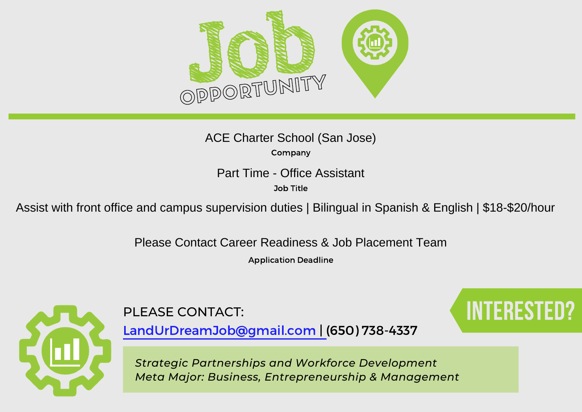

Company ACE Charter School (San Jose)

Job Title

Part Time - Office Assistant<br>
<sup>Job Title</sup><br>Assist with front office and campus supervision duties | Bilingual in Spanish & English | \$18-\$20/hour

Please Contact Career Readiness & Job Placement Team

Application Deadline



PLEASE CONTACT: Interested: INTERESTED?

LandUrDreamJob@gmail.com | (650) 738-4337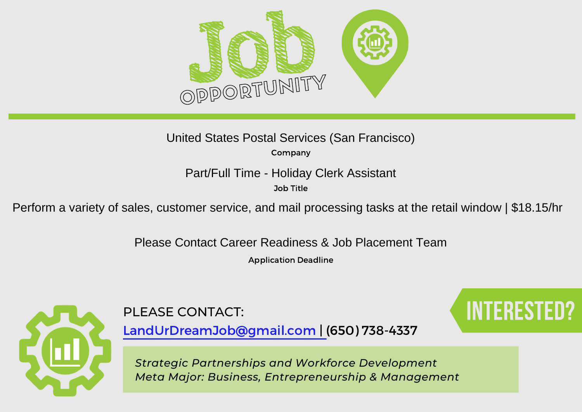

Company United States Postal Services (San Francisco)

Job Title

Part/Full Time - Holiday Clerk Assistant<br><sup>Job Title</sup><br>Perform a variety of sales, customer service, and mail processing tasks at the retail window | \$18.15/hr

Please Contact Career Readiness & Job Placement Team

Application Deadline



PLEASE CONTACT: Interested: INTERESTED

LandUrDreamJob@gmail.com | (650) 738-4337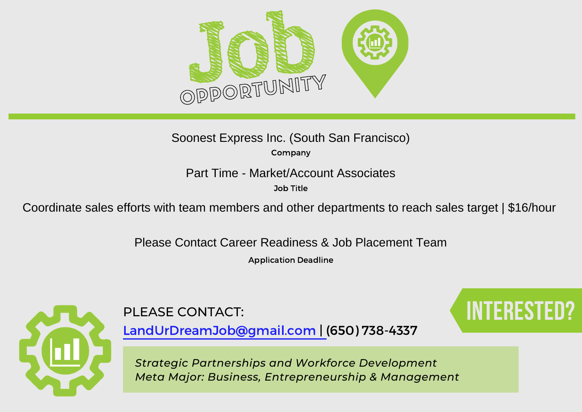

Company Soonest Express Inc. (South San Francisco)

Job Title

Part Time - Market/Account Associates<br>
<sup>Job Title</sup><br>Coordinate sales efforts with team members and other departments to reach sales target | \$16/hour

Please Contact Career Readiness & Job Placement Team

Application Deadline



PLEASE CONTACT: Interested: INTERESTED

LandUrDreamJob@gmail.com | (650) 738-4337